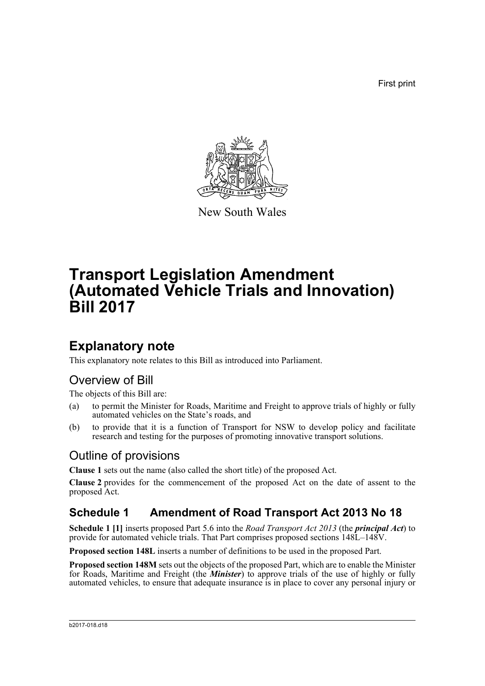First print



New South Wales

# **Transport Legislation Amendment (Automated Vehicle Trials and Innovation) Bill 2017**

## **Explanatory note**

This explanatory note relates to this Bill as introduced into Parliament.

## Overview of Bill

The objects of this Bill are:

- (a) to permit the Minister for Roads, Maritime and Freight to approve trials of highly or fully automated vehicles on the State's roads, and
- (b) to provide that it is a function of Transport for NSW to develop policy and facilitate research and testing for the purposes of promoting innovative transport solutions.

## Outline of provisions

**Clause 1** sets out the name (also called the short title) of the proposed Act.

**Clause 2** provides for the commencement of the proposed Act on the date of assent to the proposed Act.

## **Schedule 1 Amendment of Road Transport Act 2013 No 18**

**Schedule 1 [1]** inserts proposed Part 5.6 into the *Road Transport Act 2013* (the *principal Act*) to provide for automated vehicle trials. That Part comprises proposed sections 148L–148V.

**Proposed section 148L** inserts a number of definitions to be used in the proposed Part.

**Proposed section 148M** sets out the objects of the proposed Part, which are to enable the Minister for Roads, Maritime and Freight (the *Minister*) to approve trials of the use of highly or fully automated vehicles, to ensure that adequate insurance is in place to cover any personal injury or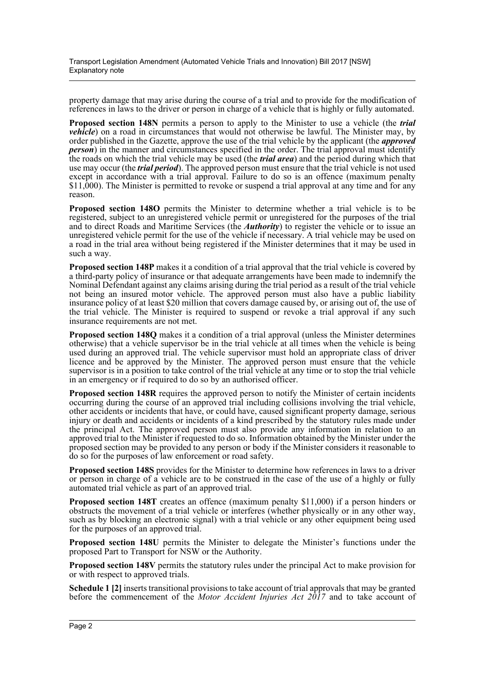property damage that may arise during the course of a trial and to provide for the modification of references in laws to the driver or person in charge of a vehicle that is highly or fully automated.

**Proposed section 148N** permits a person to apply to the Minister to use a vehicle (the *trial vehicle*) on a road in circumstances that would not otherwise be lawful. The Minister may, by order published in the Gazette, approve the use of the trial vehicle by the applicant (the *approved person*) in the manner and circumstances specified in the order. The trial approval must identify the roads on which the trial vehicle may be used (the *trial area*) and the period during which that use may occur (the *trial period*). The approved person must ensure that the trial vehicle is not used except in accordance with a trial approval. Failure to do so is an offence (maximum penalty \$11,000). The Minister is permitted to revoke or suspend a trial approval at any time and for any reason.

**Proposed section 148O** permits the Minister to determine whether a trial vehicle is to be registered, subject to an unregistered vehicle permit or unregistered for the purposes of the trial and to direct Roads and Maritime Services (the *Authority*) to register the vehicle or to issue an unregistered vehicle permit for the use of the vehicle if necessary. A trial vehicle may be used on a road in the trial area without being registered if the Minister determines that it may be used in such a way.

**Proposed section 148P** makes it a condition of a trial approval that the trial vehicle is covered by a third-party policy of insurance or that adequate arrangements have been made to indemnify the Nominal Defendant against any claims arising during the trial period as a result of the trial vehicle not being an insured motor vehicle. The approved person must also have a public liability insurance policy of at least \$20 million that covers damage caused by, or arising out of, the use of the trial vehicle. The Minister is required to suspend or revoke a trial approval if any such insurance requirements are not met.

**Proposed section 148Q** makes it a condition of a trial approval (unless the Minister determines otherwise) that a vehicle supervisor be in the trial vehicle at all times when the vehicle is being used during an approved trial. The vehicle supervisor must hold an appropriate class of driver licence and be approved by the Minister. The approved person must ensure that the vehicle supervisor is in a position to take control of the trial vehicle at any time or to stop the trial vehicle in an emergency or if required to do so by an authorised officer.

**Proposed section 148R** requires the approved person to notify the Minister of certain incidents occurring during the course of an approved trial including collisions involving the trial vehicle, other accidents or incidents that have, or could have, caused significant property damage, serious injury or death and accidents or incidents of a kind prescribed by the statutory rules made under the principal Act. The approved person must also provide any information in relation to an approved trial to the Minister if requested to do so. Information obtained by the Minister under the proposed section may be provided to any person or body if the Minister considers it reasonable to do so for the purposes of law enforcement or road safety.

**Proposed section 148S** provides for the Minister to determine how references in laws to a driver or person in charge of a vehicle are to be construed in the case of the use of a highly or fully automated trial vehicle as part of an approved trial.

**Proposed section 148T** creates an offence (maximum penalty \$11,000) if a person hinders or obstructs the movement of a trial vehicle or interferes (whether physically or in any other way, such as by blocking an electronic signal) with a trial vehicle or any other equipment being used for the purposes of an approved trial.

**Proposed section 148U** permits the Minister to delegate the Minister's functions under the proposed Part to Transport for NSW or the Authority.

**Proposed section 148V** permits the statutory rules under the principal Act to make provision for or with respect to approved trials.

**Schedule 1 [2]** inserts transitional provisions to take account of trial approvals that may be granted before the commencement of the *Motor Accident Injuries Act 2017* and to take account of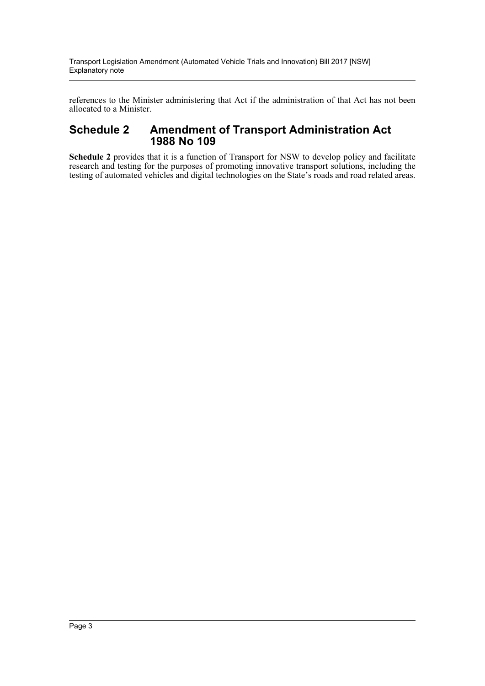references to the Minister administering that Act if the administration of that Act has not been allocated to a Minister.

### **Schedule 2 Amendment of Transport Administration Act 1988 No 109**

**Schedule 2** provides that it is a function of Transport for NSW to develop policy and facilitate research and testing for the purposes of promoting innovative transport solutions, including the testing of automated vehicles and digital technologies on the State's roads and road related areas.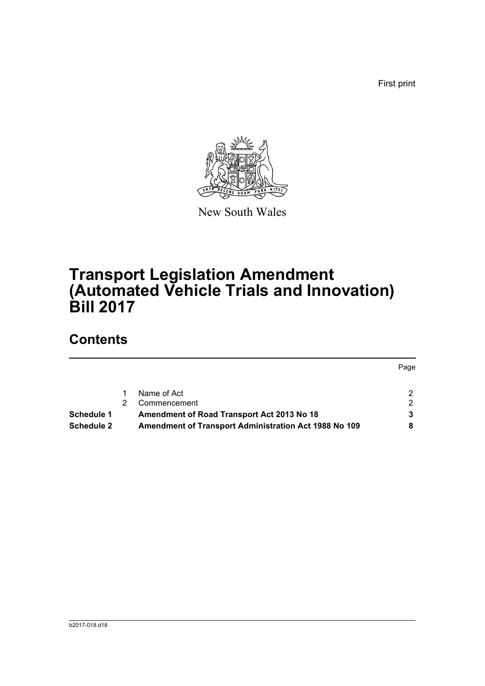First print



New South Wales

# **Transport Legislation Amendment (Automated Vehicle Trials and Innovation) Bill 2017**

## **Contents**

|                   |                                                              | Page          |
|-------------------|--------------------------------------------------------------|---------------|
|                   | Name of Act                                                  | 2.            |
|                   | Commencement                                                 | $\mathcal{P}$ |
| <b>Schedule 1</b> | Amendment of Road Transport Act 2013 No 18                   |               |
| <b>Schedule 2</b> | <b>Amendment of Transport Administration Act 1988 No 109</b> |               |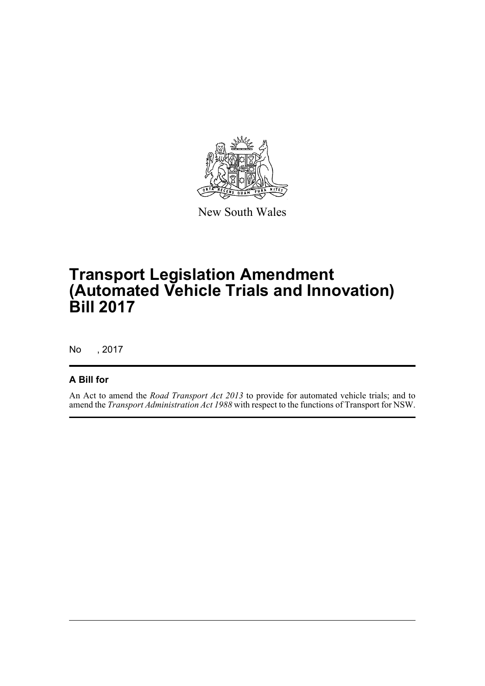

New South Wales

# **Transport Legislation Amendment (Automated Vehicle Trials and Innovation) Bill 2017**

No , 2017

#### **A Bill for**

An Act to amend the *Road Transport Act 2013* to provide for automated vehicle trials; and to amend the *Transport Administration Act 1988* with respect to the functions of Transport for NSW.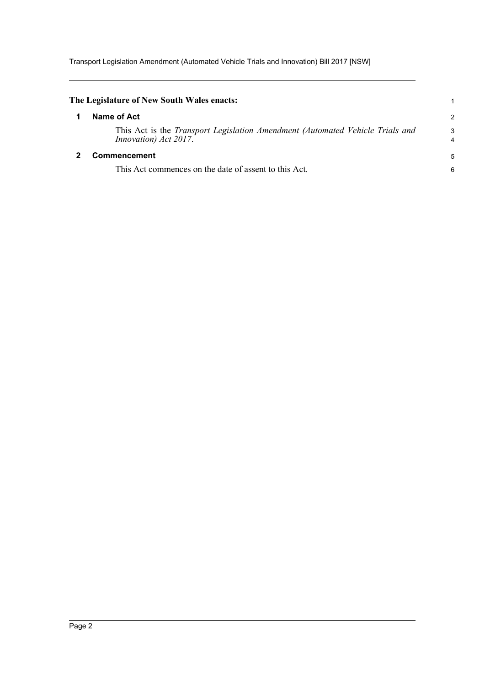Transport Legislation Amendment (Automated Vehicle Trials and Innovation) Bill 2017 [NSW]

<span id="page-5-1"></span><span id="page-5-0"></span>

| The Legislature of New South Wales enacts:                                                                    |                     |
|---------------------------------------------------------------------------------------------------------------|---------------------|
| Name of Act                                                                                                   | $\overline{c}$      |
| This Act is the <i>Transport Legislation Amendment (Automated Vehicle Trials and</i><br>Innovation) Act 2017. | 3<br>$\overline{4}$ |
| <b>Commencement</b>                                                                                           | 5                   |
| This Act commences on the date of assent to this Act.                                                         | 6                   |
|                                                                                                               |                     |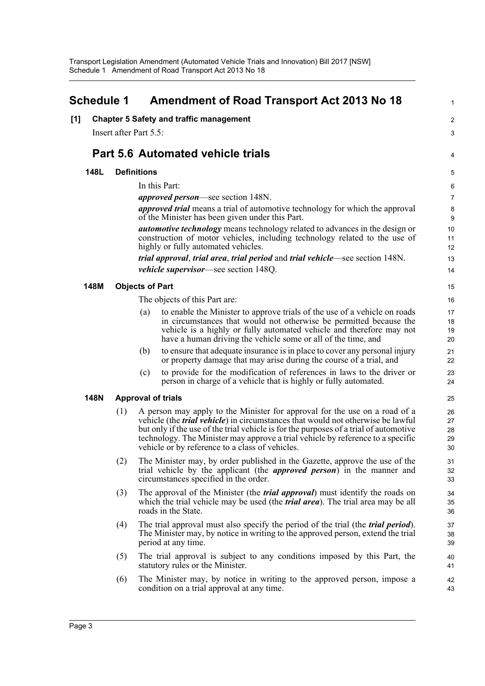<span id="page-6-0"></span>

| <b>Schedule 1</b> |             |                        | <b>Amendment of Road Transport Act 2013 No 18</b> | 1                                                                                                                                                                                                                                                                                                                                                                                                    |                            |
|-------------------|-------------|------------------------|---------------------------------------------------|------------------------------------------------------------------------------------------------------------------------------------------------------------------------------------------------------------------------------------------------------------------------------------------------------------------------------------------------------------------------------------------------------|----------------------------|
| [1]               |             |                        |                                                   | <b>Chapter 5 Safety and traffic management</b>                                                                                                                                                                                                                                                                                                                                                       | $\overline{2}$             |
|                   |             | Insert after Part 5.5: |                                                   |                                                                                                                                                                                                                                                                                                                                                                                                      | 3                          |
|                   |             |                        |                                                   | <b>Part 5.6 Automated vehicle trials</b>                                                                                                                                                                                                                                                                                                                                                             |                            |
|                   |             |                        |                                                   |                                                                                                                                                                                                                                                                                                                                                                                                      | 4                          |
|                   | 148L        |                        | <b>Definitions</b>                                |                                                                                                                                                                                                                                                                                                                                                                                                      | 5                          |
|                   |             |                        |                                                   | In this Part:                                                                                                                                                                                                                                                                                                                                                                                        | 6                          |
|                   |             |                        |                                                   | <i>approved person</i> —see section 148N.<br><i>approved trial</i> means a trial of automotive technology for which the approval<br>of the Minister has been given under this Part.                                                                                                                                                                                                                  | $\overline{7}$<br>8<br>9   |
|                   |             |                        |                                                   | <i>automotive technology</i> means technology related to advances in the design or<br>construction of motor vehicles, including technology related to the use of<br>highly or fully automated vehicles.                                                                                                                                                                                              | 10<br>11<br>12             |
|                   |             |                        |                                                   | trial approval, trial area, trial period and trial vehicle—see section 148N.<br><i>vehicle supervisor</i> —see section 148Q.                                                                                                                                                                                                                                                                         | 13<br>14                   |
|                   | 148M        |                        | <b>Objects of Part</b>                            |                                                                                                                                                                                                                                                                                                                                                                                                      | 15                         |
|                   |             |                        |                                                   | The objects of this Part are:                                                                                                                                                                                                                                                                                                                                                                        | 16                         |
|                   |             |                        | (a)                                               | to enable the Minister to approve trials of the use of a vehicle on roads<br>in circumstances that would not otherwise be permitted because the<br>vehicle is a highly or fully automated vehicle and therefore may not<br>have a human driving the vehicle some or all of the time, and                                                                                                             | 17<br>18<br>19<br>20       |
|                   |             |                        | (b)                                               | to ensure that adequate insurance is in place to cover any personal injury<br>or property damage that may arise during the course of a trial, and                                                                                                                                                                                                                                                    | 21<br>22                   |
|                   |             |                        | (c)                                               | to provide for the modification of references in laws to the driver or<br>person in charge of a vehicle that is highly or fully automated.                                                                                                                                                                                                                                                           | 23<br>24                   |
|                   | <b>148N</b> |                        |                                                   | <b>Approval of trials</b>                                                                                                                                                                                                                                                                                                                                                                            | 25                         |
|                   |             | (1)                    |                                                   | A person may apply to the Minister for approval for the use on a road of a<br>vehicle (the <i>trial vehicle</i> ) in circumstances that would not otherwise be lawful<br>but only if the use of the trial vehicle is for the purposes of a trial of automotive<br>technology. The Minister may approve a trial vehicle by reference to a specific<br>vehicle or by reference to a class of vehicles. | 26<br>27<br>28<br>29<br>30 |
|                   |             | (2)                    |                                                   | The Minister may, by order published in the Gazette, approve the use of the<br>trial vehicle by the applicant (the <i>approved person</i> ) in the manner and<br>circumstances specified in the order.                                                                                                                                                                                               | 31<br>32<br>33             |
|                   |             | (3)                    |                                                   | The approval of the Minister (the <i>trial approval</i> ) must identify the roads on<br>which the trial vehicle may be used (the <i>trial area</i> ). The trial area may be all<br>roads in the State.                                                                                                                                                                                               | 34<br>35<br>36             |
|                   |             | (4)                    |                                                   | The trial approval must also specify the period of the trial (the <i>trial period</i> ).<br>The Minister may, by notice in writing to the approved person, extend the trial<br>period at any time.                                                                                                                                                                                                   | 37<br>38<br>39             |
|                   |             | (5)                    |                                                   | The trial approval is subject to any conditions imposed by this Part, the<br>statutory rules or the Minister.                                                                                                                                                                                                                                                                                        | 40<br>41                   |
|                   |             | (6)                    |                                                   | The Minister may, by notice in writing to the approved person, impose a<br>condition on a trial approval at any time.                                                                                                                                                                                                                                                                                | 42<br>43                   |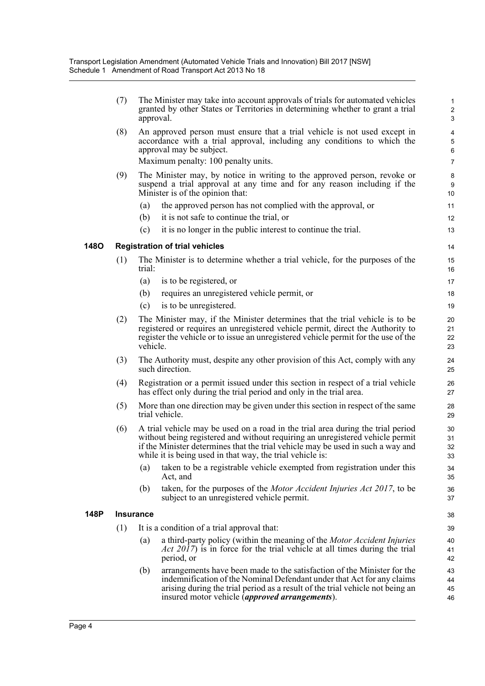|             | (7) | The Minister may take into account approvals of trials for automated vehicles<br>granted by other States or Territories in determining whether to grant a trial<br>approval.                                                                                                                                     | $\mathbf{1}$<br>$\overline{c}$<br>$\mathbf{3}$                   |
|-------------|-----|------------------------------------------------------------------------------------------------------------------------------------------------------------------------------------------------------------------------------------------------------------------------------------------------------------------|------------------------------------------------------------------|
|             | (8) | An approved person must ensure that a trial vehicle is not used except in<br>accordance with a trial approval, including any conditions to which the<br>approval may be subject.<br>Maximum penalty: 100 penalty units.                                                                                          | $\overline{\mathbf{4}}$<br>$\overline{5}$<br>6<br>$\overline{7}$ |
|             | (9) | The Minister may, by notice in writing to the approved person, revoke or<br>suspend a trial approval at any time and for any reason including if the<br>Minister is of the opinion that:                                                                                                                         | $\bf 8$<br>9<br>10                                               |
|             |     | the approved person has not complied with the approval, or<br>(a)                                                                                                                                                                                                                                                | 11                                                               |
|             |     | it is not safe to continue the trial, or<br>(b)                                                                                                                                                                                                                                                                  | 12                                                               |
|             |     | it is no longer in the public interest to continue the trial.<br>(c)                                                                                                                                                                                                                                             | 13                                                               |
| <b>1480</b> |     | <b>Registration of trial vehicles</b>                                                                                                                                                                                                                                                                            | 14                                                               |
|             | (1) | The Minister is to determine whether a trial vehicle, for the purposes of the<br>trial:                                                                                                                                                                                                                          | 15<br>16                                                         |
|             |     | is to be registered, or<br>(a)                                                                                                                                                                                                                                                                                   | 17                                                               |
|             |     | requires an unregistered vehicle permit, or<br>(b)                                                                                                                                                                                                                                                               | 18                                                               |
|             |     | is to be unregistered.<br>(c)                                                                                                                                                                                                                                                                                    | 19                                                               |
|             | (2) | The Minister may, if the Minister determines that the trial vehicle is to be<br>registered or requires an unregistered vehicle permit, direct the Authority to<br>register the vehicle or to issue an unregistered vehicle permit for the use of the<br>vehicle.                                                 | 20<br>21<br>22<br>23                                             |
|             | (3) | The Authority must, despite any other provision of this Act, comply with any<br>such direction.                                                                                                                                                                                                                  | 24<br>25                                                         |
|             | (4) | Registration or a permit issued under this section in respect of a trial vehicle<br>has effect only during the trial period and only in the trial area.                                                                                                                                                          | 26<br>27                                                         |
|             | (5) | More than one direction may be given under this section in respect of the same<br>trial vehicle.                                                                                                                                                                                                                 | 28<br>29                                                         |
|             | (6) | A trial vehicle may be used on a road in the trial area during the trial period<br>without being registered and without requiring an unregistered vehicle permit<br>if the Minister determines that the trial vehicle may be used in such a way and<br>while it is being used in that way, the trial vehicle is: | 30<br>31<br>32<br>33                                             |
|             |     | taken to be a registrable vehicle exempted from registration under this<br>(a)<br>Act, and                                                                                                                                                                                                                       | 34<br>35                                                         |
|             |     | taken, for the purposes of the <i>Motor Accident Injuries Act 2017</i> , to be<br>(b)<br>subject to an unregistered vehicle permit.                                                                                                                                                                              | 36<br>37                                                         |
| 148P        |     | <b>Insurance</b>                                                                                                                                                                                                                                                                                                 | 38                                                               |
|             | (1) | It is a condition of a trial approval that:                                                                                                                                                                                                                                                                      | 39                                                               |
|             |     | a third-party policy (within the meaning of the <i>Motor Accident Injuries</i><br>(a)<br><i>Act 2017</i> ) is in force for the trial vehicle at all times during the trial<br>period, or                                                                                                                         | 40<br>41<br>42                                                   |
|             |     | arrangements have been made to the satisfaction of the Minister for the<br>(b)<br>indemnification of the Nominal Defendant under that Act for any claims<br>arising during the trial period as a result of the trial vehicle not being an<br>insured motor vehicle ( <i>approved arrangements</i> ).             | 43<br>44<br>45<br>46                                             |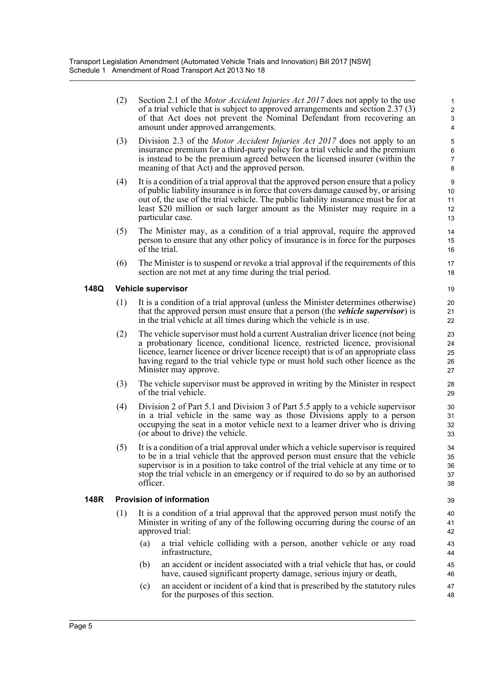(2) Section 2.1 of the *Motor Accident Injuries Act 2017* does not apply to the use of a trial vehicle that is subject to approved arrangements and section 2.37 (3) of that Act does not prevent the Nominal Defendant from recovering an amount under approved arrangements.

- (3) Division 2.3 of the *Motor Accident Injuries Act 2017* does not apply to an insurance premium for a third-party policy for a trial vehicle and the premium is instead to be the premium agreed between the licensed insurer (within the meaning of that Act) and the approved person.
- (4) It is a condition of a trial approval that the approved person ensure that a policy of public liability insurance is in force that covers damage caused by, or arising out of, the use of the trial vehicle. The public liability insurance must be for at least \$20 million or such larger amount as the Minister may require in a particular case.
- (5) The Minister may, as a condition of a trial approval, require the approved person to ensure that any other policy of insurance is in force for the purposes of the trial.
- (6) The Minister is to suspend or revoke a trial approval if the requirements of this section are not met at any time during the trial period.

#### **148Q Vehicle supervisor**

- (1) It is a condition of a trial approval (unless the Minister determines otherwise) that the approved person must ensure that a person (the *vehicle supervisor*) is in the trial vehicle at all times during which the vehicle is in use.
- (2) The vehicle supervisor must hold a current Australian driver licence (not being a probationary licence, conditional licence, restricted licence, provisional licence, learner licence or driver licence receipt) that is of an appropriate class having regard to the trial vehicle type or must hold such other licence as the Minister may approve.
- (3) The vehicle supervisor must be approved in writing by the Minister in respect of the trial vehicle.
- (4) Division 2 of Part 5.1 and Division 3 of Part 5.5 apply to a vehicle supervisor in a trial vehicle in the same way as those Divisions apply to a person occupying the seat in a motor vehicle next to a learner driver who is driving (or about to drive) the vehicle.
- (5) It is a condition of a trial approval under which a vehicle supervisor is required to be in a trial vehicle that the approved person must ensure that the vehicle supervisor is in a position to take control of the trial vehicle at any time or to stop the trial vehicle in an emergency or if required to do so by an authorised officer.

#### **148R Provision of information**

- (1) It is a condition of a trial approval that the approved person must notify the Minister in writing of any of the following occurring during the course of an approved trial:
	- (a) a trial vehicle colliding with a person, another vehicle or any road infrastructure,
	- (b) an accident or incident associated with a trial vehicle that has, or could have, caused significant property damage, serious injury or death,
	- (c) an accident or incident of a kind that is prescribed by the statutory rules for the purposes of this section.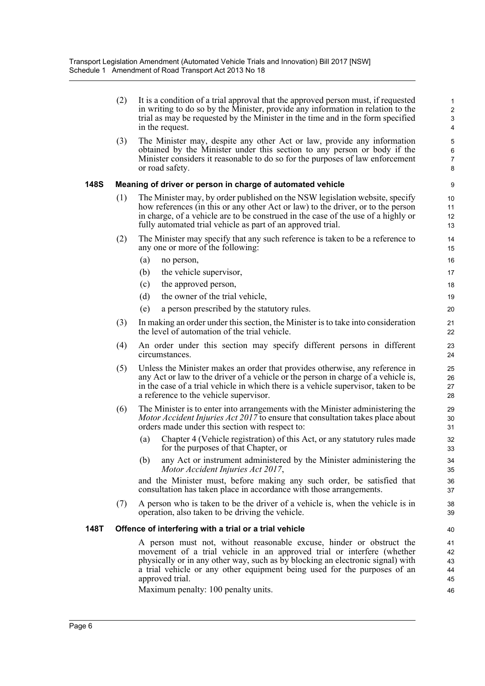|      | (2) | It is a condition of a trial approval that the approved person must, if requested<br>in writing to do so by the Minister, provide any information in relation to the<br>trial as may be requested by the Minister in the time and in the form specified<br>in the request.                                                      | $\mathbf{1}$<br>$\overline{c}$<br>$\mathsf 3$<br>4 |
|------|-----|---------------------------------------------------------------------------------------------------------------------------------------------------------------------------------------------------------------------------------------------------------------------------------------------------------------------------------|----------------------------------------------------|
|      | (3) | The Minister may, despite any other Act or law, provide any information<br>obtained by the Minister under this section to any person or body if the<br>Minister considers it reasonable to do so for the purposes of law enforcement<br>or road safety.                                                                         | 5<br>6<br>$\overline{7}$<br>8                      |
| 148S |     | Meaning of driver or person in charge of automated vehicle                                                                                                                                                                                                                                                                      | 9                                                  |
|      | (1) | The Minister may, by order published on the NSW legislation website, specify<br>how references (in this or any other Act or law) to the driver, or to the person<br>in charge, of a vehicle are to be construed in the case of the use of a highly or<br>fully automated trial vehicle as part of an approved trial.            | 10<br>11<br>12<br>13                               |
|      | (2) | The Minister may specify that any such reference is taken to be a reference to<br>any one or more of the following:                                                                                                                                                                                                             | 14<br>15                                           |
|      |     | (a)<br>no person,                                                                                                                                                                                                                                                                                                               | 16                                                 |
|      |     | (b)<br>the vehicle supervisor,                                                                                                                                                                                                                                                                                                  | 17                                                 |
|      |     | (c)<br>the approved person,                                                                                                                                                                                                                                                                                                     | 18                                                 |
|      |     | (d)<br>the owner of the trial vehicle,                                                                                                                                                                                                                                                                                          | 19                                                 |
|      |     | (e)<br>a person prescribed by the statutory rules.                                                                                                                                                                                                                                                                              | 20                                                 |
|      | (3) | In making an order under this section, the Minister is to take into consideration<br>the level of automation of the trial vehicle.                                                                                                                                                                                              | 21<br>22                                           |
|      | (4) | An order under this section may specify different persons in different<br>circumstances.                                                                                                                                                                                                                                        | 23<br>24                                           |
|      | (5) | Unless the Minister makes an order that provides otherwise, any reference in<br>any Act or law to the driver of a vehicle or the person in charge of a vehicle is,<br>in the case of a trial vehicle in which there is a vehicle supervisor, taken to be<br>a reference to the vehicle supervisor.                              | 25<br>26<br>27<br>28                               |
|      | (6) | The Minister is to enter into arrangements with the Minister administering the<br><i>Motor Accident Injuries Act 2017</i> to ensure that consultation takes place about<br>orders made under this section with respect to:                                                                                                      | 29<br>30<br>31                                     |
|      |     | Chapter 4 (Vehicle registration) of this Act, or any statutory rules made<br>(a)<br>for the purposes of that Chapter, or                                                                                                                                                                                                        | 32<br>33                                           |
|      |     | (b) any Act or instrument administered by the Minister administering the<br>Motor Accident Injuries Act 2017,                                                                                                                                                                                                                   | 34<br>35                                           |
|      |     | and the Minister must, before making any such order, be satisfied that<br>consultation has taken place in accordance with those arrangements.                                                                                                                                                                                   | 36<br>37                                           |
|      | (7) | A person who is taken to be the driver of a vehicle is, when the vehicle is in<br>operation, also taken to be driving the vehicle.                                                                                                                                                                                              | 38<br>39                                           |
| 148T |     | Offence of interfering with a trial or a trial vehicle                                                                                                                                                                                                                                                                          | 40                                                 |
|      |     | A person must not, without reasonable excuse, hinder or obstruct the<br>movement of a trial vehicle in an approved trial or interfere (whether<br>physically or in any other way, such as by blocking an electronic signal) with<br>a trial vehicle or any other equipment being used for the purposes of an<br>approved trial. | 41<br>42<br>43<br>44<br>45                         |
|      |     | Maximum penalty: 100 penalty units.                                                                                                                                                                                                                                                                                             | 46                                                 |

Maximum penalty: 100 penalty units.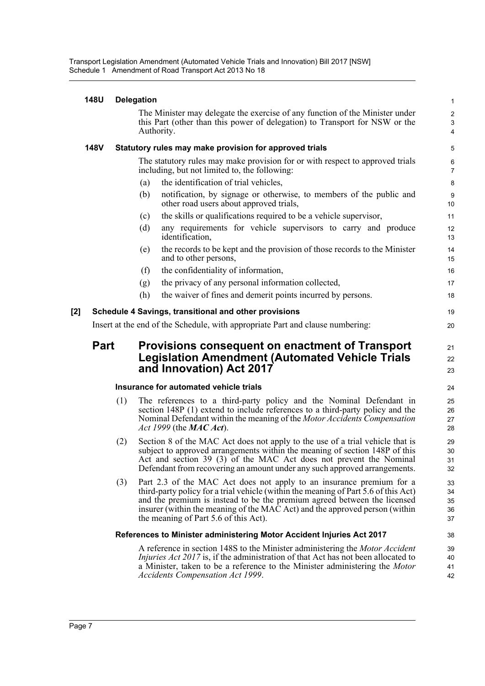|     | <b>148U</b> |     | <b>Delegation</b>                                                                                                                                                                                                                                                                                                                                               | $\mathbf{1}$               |
|-----|-------------|-----|-----------------------------------------------------------------------------------------------------------------------------------------------------------------------------------------------------------------------------------------------------------------------------------------------------------------------------------------------------------------|----------------------------|
|     |             |     | The Minister may delegate the exercise of any function of the Minister under<br>this Part (other than this power of delegation) to Transport for NSW or the<br>Authority.                                                                                                                                                                                       | $\overline{c}$<br>3<br>4   |
|     | <b>148V</b> |     | Statutory rules may make provision for approved trials                                                                                                                                                                                                                                                                                                          | 5                          |
|     |             |     | The statutory rules may make provision for or with respect to approved trials<br>including, but not limited to, the following:                                                                                                                                                                                                                                  | 6<br>7                     |
|     |             |     | the identification of trial vehicles,<br>(a)                                                                                                                                                                                                                                                                                                                    | 8                          |
|     |             |     | notification, by signage or otherwise, to members of the public and<br>(b)<br>other road users about approved trials,                                                                                                                                                                                                                                           | 9<br>10                    |
|     |             |     | the skills or qualifications required to be a vehicle supervisor,<br>(c)                                                                                                                                                                                                                                                                                        | 11                         |
|     |             |     | any requirements for vehicle supervisors to carry and produce<br>(d)<br>identification,                                                                                                                                                                                                                                                                         | 12<br>13                   |
|     |             |     | the records to be kept and the provision of those records to the Minister<br>(e)<br>and to other persons,                                                                                                                                                                                                                                                       | 14<br>15                   |
|     |             |     | the confidentiality of information,<br>(f)                                                                                                                                                                                                                                                                                                                      | 16                         |
|     |             |     | the privacy of any personal information collected,<br>(g)                                                                                                                                                                                                                                                                                                       | 17                         |
|     |             |     | (h)<br>the waiver of fines and demerit points incurred by persons.                                                                                                                                                                                                                                                                                              | 18                         |
| [2] |             |     | Schedule 4 Savings, transitional and other provisions                                                                                                                                                                                                                                                                                                           | 19                         |
|     |             |     | Insert at the end of the Schedule, with appropriate Part and clause numbering:                                                                                                                                                                                                                                                                                  | 20                         |
|     | <b>Part</b> |     | Provisions consequent on enactment of Transport<br><b>Legislation Amendment (Automated Vehicle Trials</b><br>and Innovation) Act 2017                                                                                                                                                                                                                           | 21<br>22<br>23             |
|     |             |     | Insurance for automated vehicle trials                                                                                                                                                                                                                                                                                                                          | 24                         |
|     |             | (1) | The references to a third-party policy and the Nominal Defendant in<br>section 148P (1) extend to include references to a third-party policy and the<br>Nominal Defendant within the meaning of the Motor Accidents Compensation<br>Act 1999 (the $MAC$ Act).                                                                                                   | 25<br>26<br>27<br>28       |
|     |             | (2) | Section 8 of the MAC Act does not apply to the use of a trial vehicle that is<br>subject to approved arrangements within the meaning of section 148P of this<br>Act and section 39 (3) of the MAC Act does not prevent the Nominal<br>Defendant from recovering an amount under any such approved arrangements.                                                 | 29<br>30<br>31<br>32       |
|     |             | (3) | Part 2.3 of the MAC Act does not apply to an insurance premium for a<br>third-party policy for a trial vehicle (within the meaning of Part 5.6 of this Act)<br>and the premium is instead to be the premium agreed between the licensed<br>insurer (within the meaning of the MAC Act) and the approved person (within<br>the meaning of Part 5.6 of this Act). | 33<br>34<br>35<br>36<br>37 |
|     |             |     | References to Minister administering Motor Accident Injuries Act 2017                                                                                                                                                                                                                                                                                           | 38                         |
|     |             |     | A reference in section 148S to the Minister administering the <i>Motor Accident</i><br><i>Injuries Act 2017</i> is, if the administration of that Act has not been allocated to<br>a Minister, taken to be a reference to the Minister administering the Motor<br><b>Accidents Compensation Act 1999.</b>                                                       | 39<br>40<br>41<br>42       |